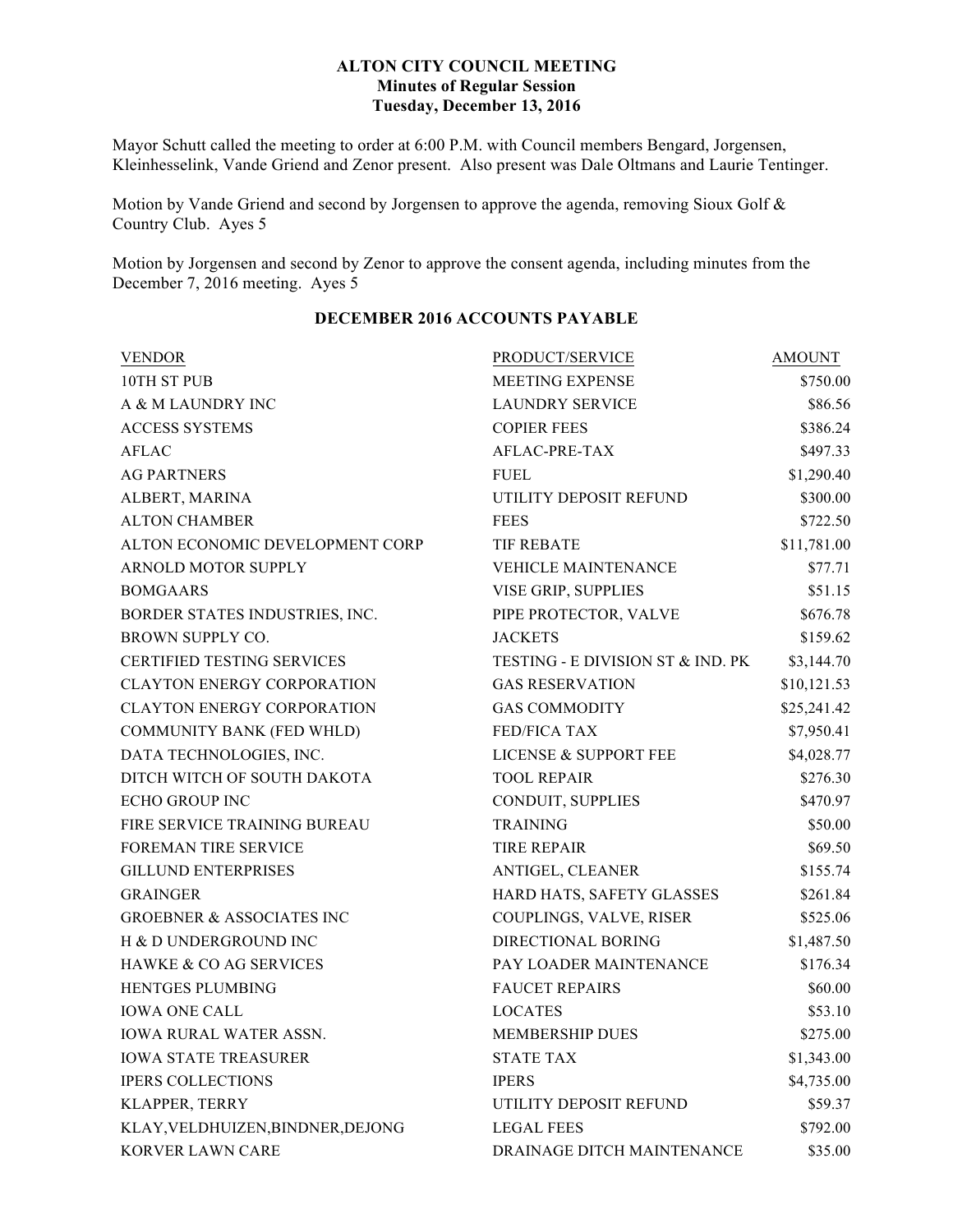### **ALTON CITY COUNCIL MEETING Minutes of Regular Session Tuesday, December 13, 2016**

Mayor Schutt called the meeting to order at 6:00 P.M. with Council members Bengard, Jorgensen, Kleinhesselink, Vande Griend and Zenor present. Also present was Dale Oltmans and Laurie Tentinger.

Motion by Vande Griend and second by Jorgensen to approve the agenda, removing Sioux Golf & Country Club. Ayes 5

Motion by Jorgensen and second by Zenor to approve the consent agenda, including minutes from the December 7, 2016 meeting. Ayes 5

| <b>VENDOR</b>                        | PRODUCT/SERVICE                   | <b>AMOUNT</b> |
|--------------------------------------|-----------------------------------|---------------|
| 10TH ST PUB                          | MEETING EXPENSE                   | \$750.00      |
| A & M LAUNDRY INC                    | <b>LAUNDRY SERVICE</b>            | \$86.56       |
| <b>ACCESS SYSTEMS</b>                | <b>COPIER FEES</b>                | \$386.24      |
| <b>AFLAC</b>                         | AFLAC-PRE-TAX                     | \$497.33      |
| <b>AG PARTNERS</b>                   | <b>FUEL</b>                       | \$1,290.40    |
| ALBERT, MARINA                       | UTILITY DEPOSIT REFUND            | \$300.00      |
| <b>ALTON CHAMBER</b>                 | <b>FEES</b>                       | \$722.50      |
| ALTON ECONOMIC DEVELOPMENT CORP      | <b>TIF REBATE</b>                 | \$11,781.00   |
| ARNOLD MOTOR SUPPLY                  | <b>VEHICLE MAINTENANCE</b>        | \$77.71       |
| <b>BOMGAARS</b>                      | VISE GRIP, SUPPLIES               | \$51.15       |
| BORDER STATES INDUSTRIES, INC.       | PIPE PROTECTOR, VALVE             | \$676.78      |
| <b>BROWN SUPPLY CO.</b>              | <b>JACKETS</b>                    | \$159.62      |
| <b>CERTIFIED TESTING SERVICES</b>    | TESTING - E DIVISION ST & IND. PK | \$3,144.70    |
| <b>CLAYTON ENERGY CORPORATION</b>    | <b>GAS RESERVATION</b>            | \$10,121.53   |
| <b>CLAYTON ENERGY CORPORATION</b>    | <b>GAS COMMODITY</b>              | \$25,241.42   |
| COMMUNITY BANK (FED WHLD)            | FED/FICA TAX                      | \$7,950.41    |
| DATA TECHNOLOGIES, INC.              | <b>LICENSE &amp; SUPPORT FEE</b>  | \$4,028.77    |
| DITCH WITCH OF SOUTH DAKOTA          | <b>TOOL REPAIR</b>                | \$276.30      |
| <b>ECHO GROUP INC</b>                | CONDUIT, SUPPLIES                 | \$470.97      |
| FIRE SERVICE TRAINING BUREAU         | <b>TRAINING</b>                   | \$50.00       |
| <b>FOREMAN TIRE SERVICE</b>          | <b>TIRE REPAIR</b>                | \$69.50       |
| <b>GILLUND ENTERPRISES</b>           | ANTIGEL, CLEANER                  | \$155.74      |
| <b>GRAINGER</b>                      | HARD HATS, SAFETY GLASSES         | \$261.84      |
| <b>GROEBNER &amp; ASSOCIATES INC</b> | COUPLINGS, VALVE, RISER           | \$525.06      |
| H & D UNDERGROUND INC                | <b>DIRECTIONAL BORING</b>         | \$1,487.50    |
| <b>HAWKE &amp; CO AG SERVICES</b>    | PAY LOADER MAINTENANCE            | \$176.34      |
| HENTGES PLUMBING                     | <b>FAUCET REPAIRS</b>             | \$60.00       |
| <b>IOWA ONE CALL</b>                 | <b>LOCATES</b>                    | \$53.10       |
| <b>IOWA RURAL WATER ASSN.</b>        | <b>MEMBERSHIP DUES</b>            | \$275.00      |
| <b>IOWA STATE TREASURER</b>          | <b>STATE TAX</b>                  | \$1,343.00    |
| <b>IPERS COLLECTIONS</b>             | <b>IPERS</b>                      | \$4,735.00    |
| KLAPPER, TERRY                       | UTILITY DEPOSIT REFUND            | \$59.37       |
| KLAY, VELDHUIZEN, BINDNER, DEJONG    | <b>LEGAL FEES</b>                 | \$792.00      |
| <b>KORVER LAWN CARE</b>              | DRAINAGE DITCH MAINTENANCE        | \$35.00       |

# **DECEMBER 2016 ACCOUNTS PAYABLE**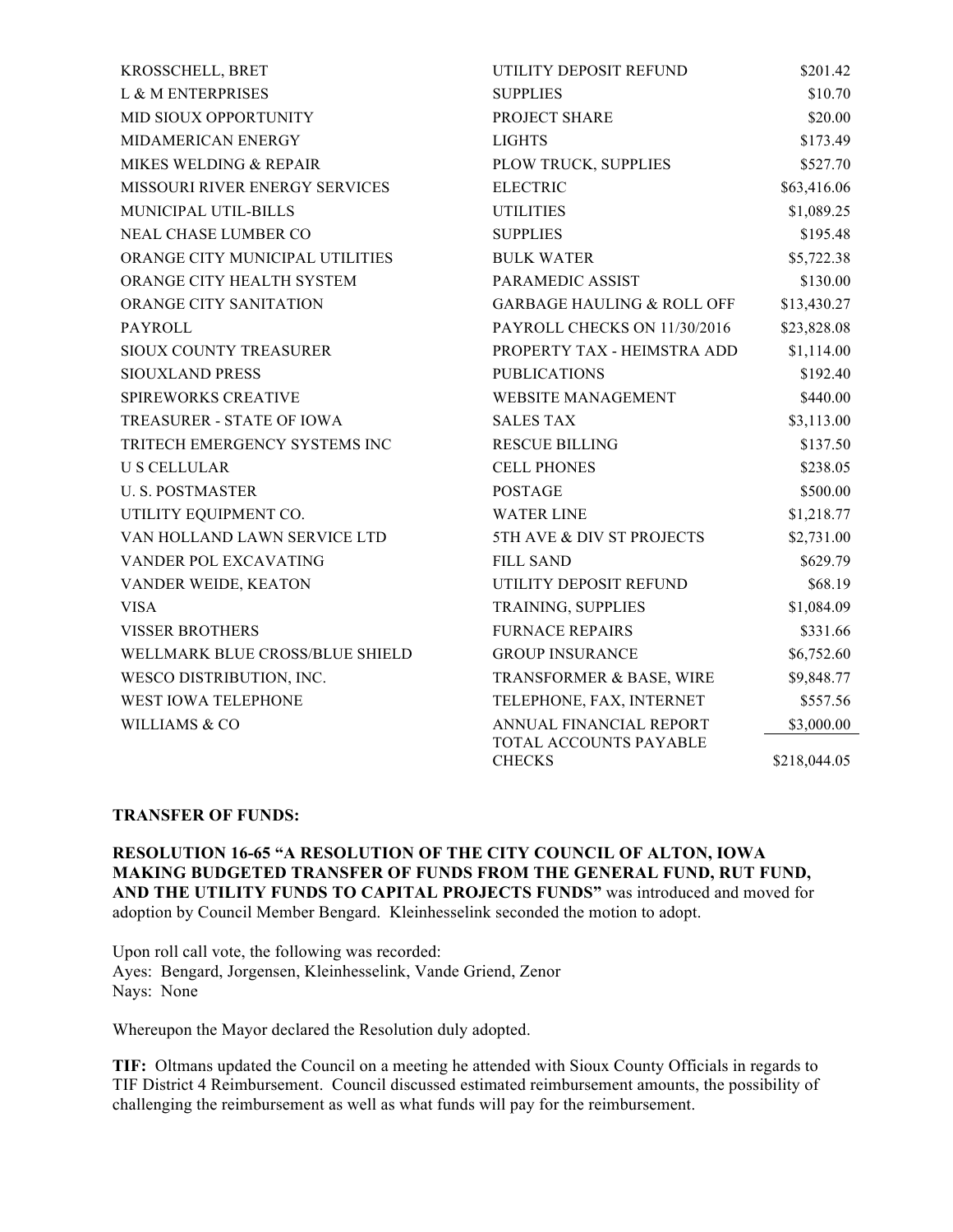| KROSSCHELL, BRET                 | UTILITY DEPOSIT REFUND                  | \$201.42     |
|----------------------------------|-----------------------------------------|--------------|
| L & M ENTERPRISES                | <b>SUPPLIES</b>                         | \$10.70      |
| MID SIOUX OPPORTUNITY            | PROJECT SHARE                           | \$20.00      |
| MIDAMERICAN ENERGY               | <b>LIGHTS</b>                           | \$173.49     |
| MIKES WELDING & REPAIR           | PLOW TRUCK, SUPPLIES                    | \$527.70     |
| MISSOURI RIVER ENERGY SERVICES   | <b>ELECTRIC</b>                         | \$63,416.06  |
| MUNICIPAL UTIL-BILLS             | <b>UTILITIES</b>                        | \$1,089.25   |
| <b>NEAL CHASE LUMBER CO</b>      | <b>SUPPLIES</b>                         | \$195.48     |
| ORANGE CITY MUNICIPAL UTILITIES  | <b>BULK WATER</b>                       | \$5,722.38   |
| ORANGE CITY HEALTH SYSTEM        | PARAMEDIC ASSIST                        | \$130.00     |
| <b>ORANGE CITY SANITATION</b>    | <b>GARBAGE HAULING &amp; ROLL OFF</b>   | \$13,430.27  |
| <b>PAYROLL</b>                   | PAYROLL CHECKS ON 11/30/2016            | \$23,828.08  |
| SIOUX COUNTY TREASURER           | PROPERTY TAX - HEIMSTRA ADD             | \$1,114.00   |
| <b>SIOUXLAND PRESS</b>           | <b>PUBLICATIONS</b>                     | \$192.40     |
| <b>SPIREWORKS CREATIVE</b>       | <b>WEBSITE MANAGEMENT</b>               | \$440.00     |
| <b>TREASURER - STATE OF IOWA</b> | <b>SALES TAX</b>                        | \$3,113.00   |
| TRITECH EMERGENCY SYSTEMS INC    | <b>RESCUE BILLING</b>                   | \$137.50     |
| <b>U S CELLULAR</b>              | <b>CELL PHONES</b>                      | \$238.05     |
| <b>U. S. POSTMASTER</b>          | <b>POSTAGE</b>                          | \$500.00     |
| UTILITY EQUIPMENT CO.            | <b>WATER LINE</b>                       | \$1,218.77   |
| VAN HOLLAND LAWN SERVICE LTD     | 5TH AVE & DIV ST PROJECTS               | \$2,731.00   |
| VANDER POL EXCAVATING            | <b>FILL SAND</b>                        | \$629.79     |
| VANDER WEIDE, KEATON             | UTILITY DEPOSIT REFUND                  | \$68.19      |
| <b>VISA</b>                      | TRAINING, SUPPLIES                      | \$1,084.09   |
| <b>VISSER BROTHERS</b>           | <b>FURNACE REPAIRS</b>                  | \$331.66     |
| WELLMARK BLUE CROSS/BLUE SHIELD  | <b>GROUP INSURANCE</b>                  | \$6,752.60   |
| WESCO DISTRIBUTION, INC.         | TRANSFORMER & BASE, WIRE                | \$9,848.77   |
| WEST IOWA TELEPHONE              | TELEPHONE, FAX, INTERNET                | \$557.56     |
| <b>WILLIAMS &amp; CO</b>         | ANNUAL FINANCIAL REPORT                 | \$3,000.00   |
|                                  | TOTAL ACCOUNTS PAYABLE<br><b>CHECKS</b> | \$218,044.05 |

#### **TRANSFER OF FUNDS:**

**RESOLUTION 16-65 "A RESOLUTION OF THE CITY COUNCIL OF ALTON, IOWA MAKING BUDGETED TRANSFER OF FUNDS FROM THE GENERAL FUND, RUT FUND, AND THE UTILITY FUNDS TO CAPITAL PROJECTS FUNDS"** was introduced and moved for adoption by Council Member Bengard. Kleinhesselink seconded the motion to adopt.

Upon roll call vote, the following was recorded: Ayes: Bengard, Jorgensen, Kleinhesselink, Vande Griend, Zenor Nays: None

Whereupon the Mayor declared the Resolution duly adopted.

**TIF:** Oltmans updated the Council on a meeting he attended with Sioux County Officials in regards to TIF District 4 Reimbursement. Council discussed estimated reimbursement amounts, the possibility of challenging the reimbursement as well as what funds will pay for the reimbursement.